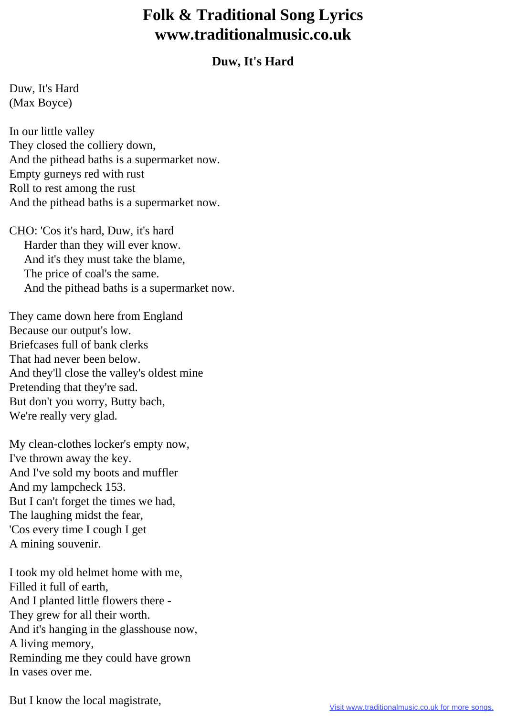## **Folk & Traditional Song Lyrics www.traditionalmusic.co.uk**

## **Duw, It's Hard**

Duw, It's Hard (Max Boyce)

In our little valley They closed the colliery down, And the pithead baths is a supermarket now. Empty gurneys red with rust Roll to rest among the rust And the pithead baths is a supermarket now.

CHO: 'Cos it's hard, Duw, it's hard Harder than they will ever know. And it's they must take the blame, The price of coal's the same. And the pithead baths is a supermarket now.

They came down here from England Because our output's low. Briefcases full of bank clerks That had never been below. And they'll close the valley's oldest mine Pretending that they're sad. But don't you worry, Butty bach, We're really very glad.

My clean-clothes locker's empty now, I've thrown away the key. And I've sold my boots and muffler And my lampcheck 153. But I can't forget the times we had, The laughing midst the fear, 'Cos every time I cough I get A mining souvenir.

I took my old helmet home with me, Filled it full of earth, And I planted little flowers there - They grew for all their worth. And it's hanging in the glasshouse now, A living memory, Reminding me they could have grown In vases over me.

But I know the local magistrate,